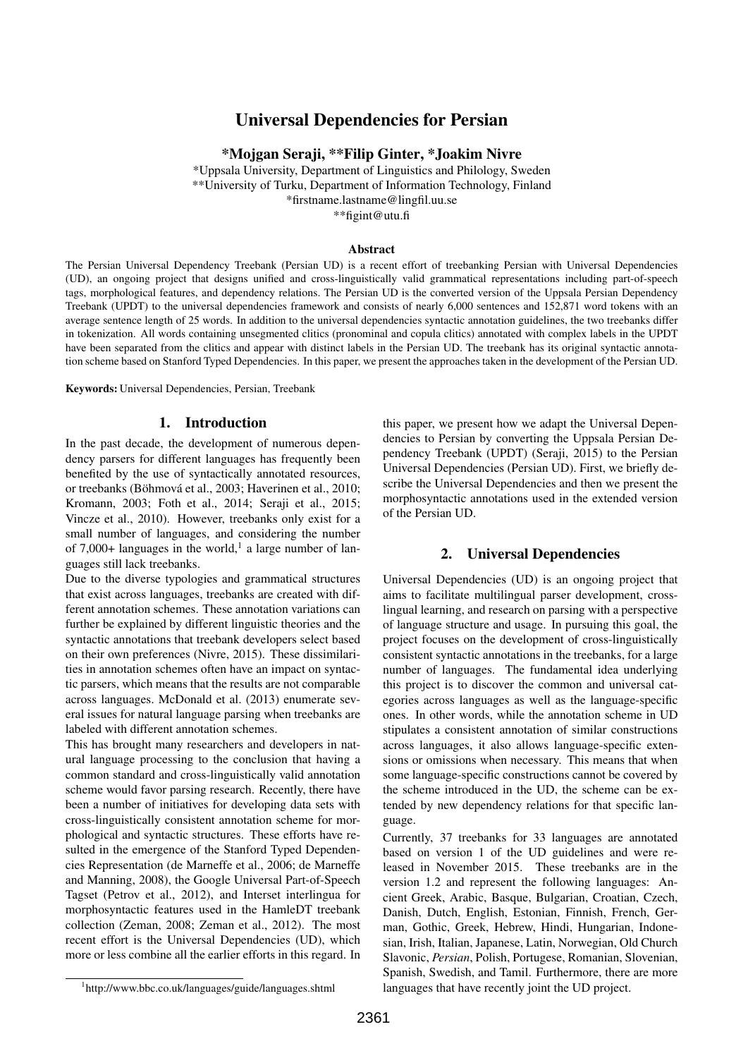# Universal Dependencies for Persian

\*Mojgan Seraji, \*\*Filip Ginter, \*Joakim Nivre

\*Uppsala University, Department of Linguistics and Philology, Sweden \*\*University of Turku, Department of Information Technology, Finland \*firstname.lastname@lingfil.uu.se \*\*figint@utu.fi

Abstract

The Persian Universal Dependency Treebank (Persian UD) is a recent effort of treebanking Persian with Universal Dependencies (UD), an ongoing project that designs unified and cross-linguistically valid grammatical representations including part-of-speech tags, morphological features, and dependency relations. The Persian UD is the converted version of the Uppsala Persian Dependency Treebank (UPDT) to the universal dependencies framework and consists of nearly 6,000 sentences and 152,871 word tokens with an average sentence length of 25 words. In addition to the universal dependencies syntactic annotation guidelines, the two treebanks differ in tokenization. All words containing unsegmented clitics (pronominal and copula clitics) annotated with complex labels in the UPDT have been separated from the clitics and appear with distinct labels in the Persian UD. The treebank has its original syntactic annotation scheme based on Stanford Typed Dependencies. In this paper, we present the approaches taken in the development of the Persian UD.

Keywords: Universal Dependencies, Persian, Treebank

#### 1. Introduction

In the past decade, the development of numerous dependency parsers for different languages has frequently been benefited by the use of syntactically annotated resources, or treebanks (Böhmová et al., 2003; Haverinen et al., 2010; Kromann, 2003; Foth et al., 2014; Seraji et al., 2015; Vincze et al., 2010). However, treebanks only exist for a small number of languages, and considering the number of 7,000+ languages in the world,<sup>1</sup> a large number of languages still lack treebanks.

Due to the diverse typologies and grammatical structures that exist across languages, treebanks are created with different annotation schemes. These annotation variations can further be explained by different linguistic theories and the syntactic annotations that treebank developers select based on their own preferences (Nivre, 2015). These dissimilarities in annotation schemes often have an impact on syntactic parsers, which means that the results are not comparable across languages. McDonald et al. (2013) enumerate several issues for natural language parsing when treebanks are labeled with different annotation schemes.

This has brought many researchers and developers in natural language processing to the conclusion that having a common standard and cross-linguistically valid annotation scheme would favor parsing research. Recently, there have been a number of initiatives for developing data sets with cross-linguistically consistent annotation scheme for morphological and syntactic structures. These efforts have resulted in the emergence of the Stanford Typed Dependencies Representation (de Marneffe et al., 2006; de Marneffe and Manning, 2008), the Google Universal Part-of-Speech Tagset (Petrov et al., 2012), and Interset interlingua for morphosyntactic features used in the HamleDT treebank collection (Zeman, 2008; Zeman et al., 2012). The most recent effort is the Universal Dependencies (UD), which more or less combine all the earlier efforts in this regard. In

this paper, we present how we adapt the Universal Dependencies to Persian by converting the Uppsala Persian Dependency Treebank (UPDT) (Seraji, 2015) to the Persian Universal Dependencies (Persian UD). First, we briefly describe the Universal Dependencies and then we present the morphosyntactic annotations used in the extended version of the Persian UD.

#### 2. Universal Dependencies

Universal Dependencies (UD) is an ongoing project that aims to facilitate multilingual parser development, crosslingual learning, and research on parsing with a perspective of language structure and usage. In pursuing this goal, the project focuses on the development of cross-linguistically consistent syntactic annotations in the treebanks, for a large number of languages. The fundamental idea underlying this project is to discover the common and universal categories across languages as well as the language-specific ones. In other words, while the annotation scheme in UD stipulates a consistent annotation of similar constructions across languages, it also allows language-specific extensions or omissions when necessary. This means that when some language-specific constructions cannot be covered by the scheme introduced in the UD, the scheme can be extended by new dependency relations for that specific language.

Currently, 37 treebanks for 33 languages are annotated based on version 1 of the UD guidelines and were released in November 2015. These treebanks are in the version 1.2 and represent the following languages: Ancient Greek, Arabic, Basque, Bulgarian, Croatian, Czech, Danish, Dutch, English, Estonian, Finnish, French, German, Gothic, Greek, Hebrew, Hindi, Hungarian, Indonesian, Irish, Italian, Japanese, Latin, Norwegian, Old Church Slavonic, *Persian*, Polish, Portugese, Romanian, Slovenian, Spanish, Swedish, and Tamil. Furthermore, there are more languages that have recently joint the UD project.

<sup>1</sup> http://www.bbc.co.uk/languages/guide/languages.shtml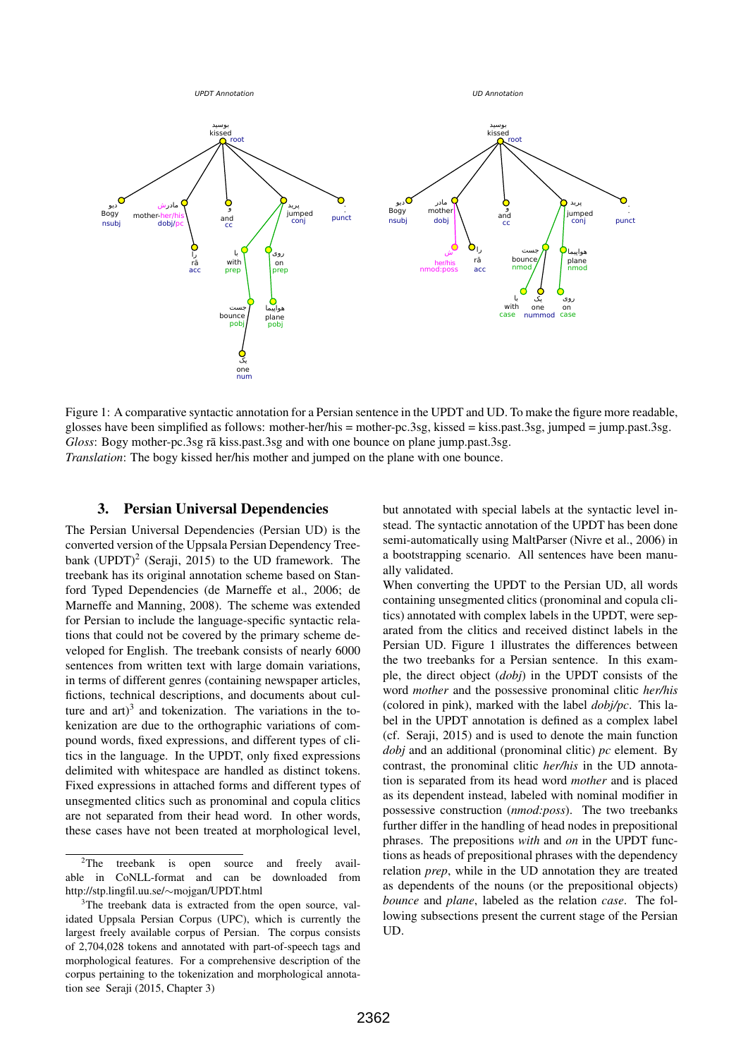

Figure 1: A comparative syntactic annotation for a Persian sentence in the UPDT and UD. To make the figure more readable, glosses have been simplified as follows: mother-her/his = mother-pc.3sg, kissed = kiss.past.3sg, jumped = jump.past.3sg. *Gloss*: Bogy mother-pc.3sg rā kiss.past.3sg and with one bounce on plane jump.past.3sg. *Translation*: The bogy kissed her/his mother and jumped on the plane with one bounce.

#### 3. Persian Universal Dependencies

The Persian Universal Dependencies (Persian UD) is the converted version of the Uppsala Persian Dependency Treebank (UPDT)<sup>2</sup> (Seraji, 2015) to the UD framework. The treebank has its original annotation scheme based on Stanford Typed Dependencies (de Marneffe et al., 2006; de Marneffe and Manning, 2008). The scheme was extended for Persian to include the language-specific syntactic relations that could not be covered by the primary scheme developed for English. The treebank consists of nearly 6000 sentences from written text with large domain variations, in terms of different genres (containing newspaper articles, fictions, technical descriptions, and documents about culture and  $art$ <sup>3</sup> and tokenization. The variations in the tokenization are due to the orthographic variations of compound words, fixed expressions, and different types of clitics in the language. In the UPDT, only fixed expressions delimited with whitespace are handled as distinct tokens. Fixed expressions in attached forms and different types of unsegmented clitics such as pronominal and copula clitics are not separated from their head word. In other words, these cases have not been treated at morphological level,

but annotated with special labels at the syntactic level instead. The syntactic annotation of the UPDT has been done semi-automatically using MaltParser (Nivre et al., 2006) in a bootstrapping scenario. All sentences have been manually validated.

When converting the UPDT to the Persian UD, all words containing unsegmented clitics (pronominal and copula clitics) annotated with complex labels in the UPDT, were separated from the clitics and received distinct labels in the Persian UD. Figure 1 illustrates the differences between the two treebanks for a Persian sentence. In this example, the direct object (*dobj*) in the UPDT consists of the word *mother* and the possessive pronominal clitic *her/his* (colored in pink), marked with the label *dobj/pc*. This label in the UPDT annotation is defined as a complex label (cf. Seraji, 2015) and is used to denote the main function *dobj* and an additional (pronominal clitic) *pc* element. By contrast, the pronominal clitic *her/his* in the UD annotation is separated from its head word *mother* and is placed as its dependent instead, labeled with nominal modifier in possessive construction (*nmod:poss*). The two treebanks further differ in the handling of head nodes in prepositional phrases. The prepositions *with* and *on* in the UPDT functions as heads of prepositional phrases with the dependency relation *prep*, while in the UD annotation they are treated as dependents of the nouns (or the prepositional objects) *bounce* and *plane*, labeled as the relation *case*. The following subsections present the current stage of the Persian UD.

 $2\text{The}$  treebank is open source and freely available in CoNLL-format and can be downloaded from http://stp.lingfil.uu.se/∼mojgan/UPDT.html

<sup>&</sup>lt;sup>3</sup>The treebank data is extracted from the open source, validated Uppsala Persian Corpus (UPC), which is currently the largest freely available corpus of Persian. The corpus consists of 2,704,028 tokens and annotated with part-of-speech tags and morphological features. For a comprehensive description of the corpus pertaining to the tokenization and morphological annotation see Seraji (2015, Chapter 3)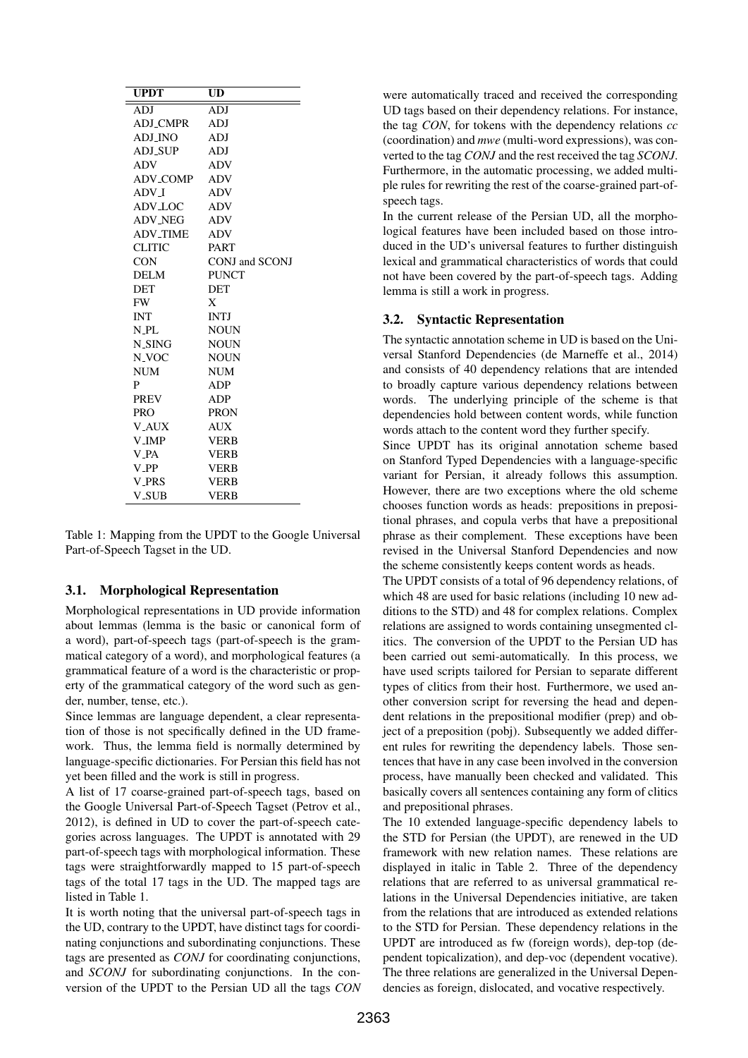| <b>UPDT</b>        | UD             |
|--------------------|----------------|
| ADJ                | ADJ            |
| <b>ADJ_CMPR</b>    | ADJ            |
| ADJ INO            | ADJ            |
| ADJ_SUP            | ADJ            |
| <b>ADV</b>         | <b>ADV</b>     |
| <b>ADV_COMP</b>    | <b>ADV</b>     |
| ADV I              | <b>ADV</b>     |
| ADV_LOC            | <b>ADV</b>     |
| ADV_NEG            | <b>ADV</b>     |
| <b>ADV_TIME</b>    | <b>ADV</b>     |
| <b>CLITIC</b>      | <b>PART</b>    |
| <b>CON</b>         | CONJ and SCONJ |
| DELM               | <b>PUNCT</b>   |
| <b>DET</b>         | <b>DET</b>     |
| FW.                | $X_{-}$        |
| <b>INT</b>         | <b>INTJ</b>    |
| N_PL               | <b>NOUN</b>    |
| N_SING             | <b>NOUN</b>    |
| N_VOC              | <b>NOUN</b>    |
| NUM                | <b>NUM</b>     |
| P                  | ADP            |
| <b>PREV</b>        | <b>ADP</b>     |
| PRO-               | <b>PRON</b>    |
| <b>V_AUX</b>       | <b>AUX</b>     |
| <b>V_IMP</b>       | <b>VERB</b>    |
| V_PA               | <b>VERB</b>    |
| $V$ <sub>-PP</sub> | <b>VERB</b>    |
| <b>V_PRS</b>       | <b>VERB</b>    |
| <b>V_SUB</b>       | <b>VERB</b>    |

Table 1: Mapping from the UPDT to the Google Universal Part-of-Speech Tagset in the UD.

#### 3.1. Morphological Representation

Morphological representations in UD provide information about lemmas (lemma is the basic or canonical form of a word), part-of-speech tags (part-of-speech is the grammatical category of a word), and morphological features (a grammatical feature of a word is the characteristic or property of the grammatical category of the word such as gender, number, tense, etc.).

Since lemmas are language dependent, a clear representation of those is not specifically defined in the UD framework. Thus, the lemma field is normally determined by language-specific dictionaries. For Persian this field has not yet been filled and the work is still in progress.

A list of 17 coarse-grained part-of-speech tags, based on the Google Universal Part-of-Speech Tagset (Petrov et al., 2012), is defined in UD to cover the part-of-speech categories across languages. The UPDT is annotated with 29 part-of-speech tags with morphological information. These tags were straightforwardly mapped to 15 part-of-speech tags of the total 17 tags in the UD. The mapped tags are listed in Table 1.

It is worth noting that the universal part-of-speech tags in the UD, contrary to the UPDT, have distinct tags for coordinating conjunctions and subordinating conjunctions. These tags are presented as *CONJ* for coordinating conjunctions, and *SCONJ* for subordinating conjunctions. In the conversion of the UPDT to the Persian UD all the tags *CON* were automatically traced and received the corresponding UD tags based on their dependency relations. For instance, the tag *CON*, for tokens with the dependency relations *cc* (coordination) and *mwe* (multi-word expressions), was converted to the tag *CONJ* and the rest received the tag *SCONJ*. Furthermore, in the automatic processing, we added multiple rules for rewriting the rest of the coarse-grained part-ofspeech tags.

In the current release of the Persian UD, all the morphological features have been included based on those introduced in the UD's universal features to further distinguish lexical and grammatical characteristics of words that could not have been covered by the part-of-speech tags. Adding lemma is still a work in progress.

### 3.2. Syntactic Representation

The syntactic annotation scheme in UD is based on the Universal Stanford Dependencies (de Marneffe et al., 2014) and consists of 40 dependency relations that are intended to broadly capture various dependency relations between words. The underlying principle of the scheme is that dependencies hold between content words, while function words attach to the content word they further specify.

Since UPDT has its original annotation scheme based on Stanford Typed Dependencies with a language-specific variant for Persian, it already follows this assumption. However, there are two exceptions where the old scheme chooses function words as heads: prepositions in prepositional phrases, and copula verbs that have a prepositional phrase as their complement. These exceptions have been revised in the Universal Stanford Dependencies and now the scheme consistently keeps content words as heads.

The UPDT consists of a total of 96 dependency relations, of which 48 are used for basic relations (including 10 new additions to the STD) and 48 for complex relations. Complex relations are assigned to words containing unsegmented clitics. The conversion of the UPDT to the Persian UD has been carried out semi-automatically. In this process, we have used scripts tailored for Persian to separate different types of clitics from their host. Furthermore, we used another conversion script for reversing the head and dependent relations in the prepositional modifier (prep) and object of a preposition (pobj). Subsequently we added different rules for rewriting the dependency labels. Those sentences that have in any case been involved in the conversion process, have manually been checked and validated. This basically covers all sentences containing any form of clitics and prepositional phrases.

The 10 extended language-specific dependency labels to the STD for Persian (the UPDT), are renewed in the UD framework with new relation names. These relations are displayed in italic in Table 2. Three of the dependency relations that are referred to as universal grammatical relations in the Universal Dependencies initiative, are taken from the relations that are introduced as extended relations to the STD for Persian. These dependency relations in the UPDT are introduced as fw (foreign words), dep-top (dependent topicalization), and dep-voc (dependent vocative). The three relations are generalized in the Universal Dependencies as foreign, dislocated, and vocative respectively.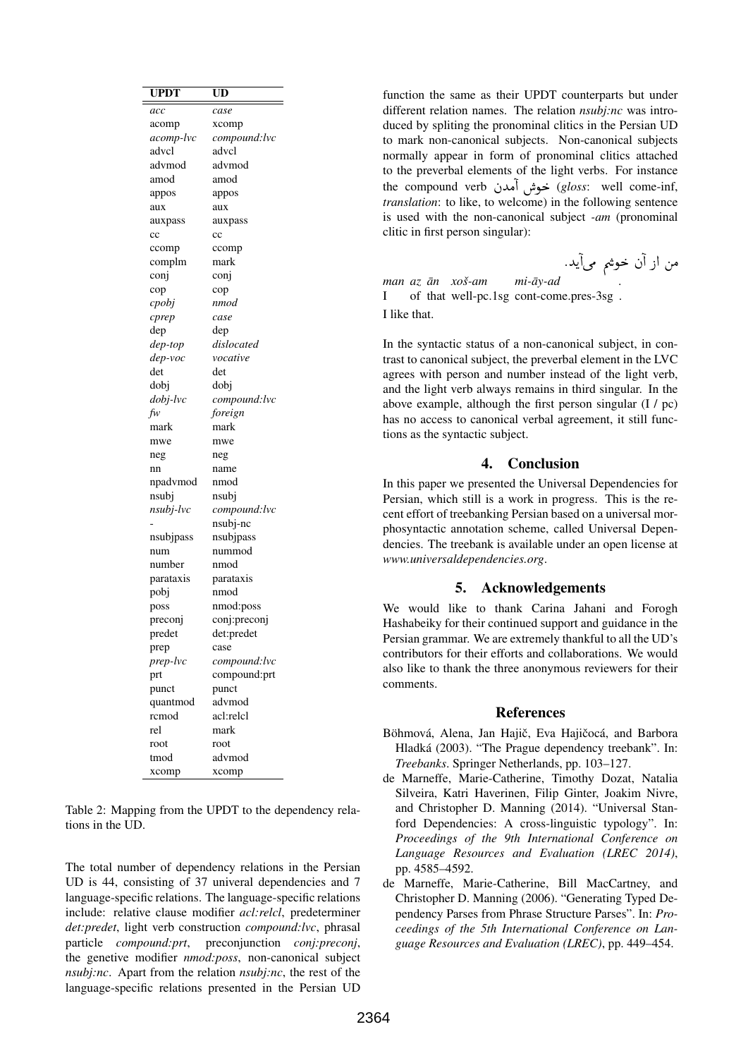| <b>UPDT</b> | UD           |
|-------------|--------------|
| acc         | case         |
| acomp       | xcomp        |
| acomp-lvc   | compound:lvc |
| advcl       | advcl        |
| advmod      | advmod       |
| amod        | amod         |
| appos       | appos        |
| aux         | aux          |
| auxpass     | auxpass      |
| $_{\rm cc}$ | $_{\rm cc}$  |
| ccomp       | ccomp        |
| complm      | mark         |
| conj        | conj         |
| cop         | cop          |
| cpobj       | nmod         |
| cprep       | case         |
| dep         | dep          |
| dep-top     | dislocated   |
| dep-voc     | vocative     |
| det         | det          |
| dobi        | dobi         |
| dobj-lvc    | compound:lvc |
| fw          | foreign      |
| mark        | mark         |
| mwe         | mwe          |
| neg         | neg          |
| nn          | name         |
| npadvmod    | nmod         |
| nsubj       | nsubj        |
| nsubj-lvc   | compound:lvc |
|             | nsubj-nc     |
| nsubjpass   | nsubjpass    |
| num         | nummod       |
| number      | nmod         |
| parataxis   | parataxis    |
| pobj        | nmod         |
| poss        | nmod:poss    |
| preconj     | conj:preconj |
| predet      | det:predet   |
| prep        | case         |
| prep-lvc    | compound:lvc |
| prt         | compound:prt |
| punct       | punct        |
| quantmod    | advmod       |
| rcmod       | acl:relcl    |
| rel         | mark         |
| root        | root         |
| tmod        | advmod       |
| xcomp       | xcomp        |

Table 2: Mapping from the UPDT to the dependency relations in the UD.

The total number of dependency relations in the Persian UD is 44, consisting of 37 univeral dependencies and 7 language-specific relations. The language-specific relations include: relative clause modifier *acl:relcl*, predeterminer *det:predet*, light verb construction *compound:lvc*, phrasal particle *compound:prt*, preconjunction *conj:preconj*, the genetive modifier *nmod:poss*, non-canonical subject *nsubj:nc*. Apart from the relation *nsubj:nc*, the rest of the language-specific relations presented in the Persian UD

function the same as their UPDT counterparts but under different relation names. The relation *nsubj:nc* was introduced by spliting the pronominal clitics in the Persian UD to mark non-canonical subjects. Non-canonical subjects normally appear in form of pronominal clitics attached to the preverbal elements of the light verbs. For instance to the preverbal elements of the light verbs. For instance<br>the compound verb مُحوش آمدن (*gloss*: well come-inf, *translation*: to like, to welcome) in the following sentence is used with the non-canonical subject *-am* (pronominal clitic in first person singular): ی<br>من از آه

 $\overline{a}$ 

@

.<br>يد. <u>ب</u> .<br>ن خوشہ مرآ *man az an¯ xos-am ˇ* I of that well-pc.1sg cont-come.pres-3sg .  $mi$ - $\bar{a}$ *y*-ad *.* I like that.

In the syntactic status of a non-canonical subject, in contrast to canonical subject, the preverbal element in the LVC agrees with person and number instead of the light verb, and the light verb always remains in third singular. In the above example, although the first person singular (I / pc) has no access to canonical verbal agreement, it still functions as the syntactic subject.

## 4. Conclusion

In this paper we presented the Universal Dependencies for Persian, which still is a work in progress. This is the recent effort of treebanking Persian based on a universal morphosyntactic annotation scheme, called Universal Dependencies. The treebank is available under an open license at *www.universaldependencies.org*.

#### 5. Acknowledgements

We would like to thank Carina Jahani and Forogh Hashabeiky for their continued support and guidance in the Persian grammar. We are extremely thankful to all the UD's contributors for their efforts and collaborations. We would also like to thank the three anonymous reviewers for their comments.

#### **References**

- Böhmová, Alena, Jan Hajič, Eva Hajičocá, and Barbora Hladká (2003). "The Prague dependency treebank". In: *Treebanks*. Springer Netherlands, pp. 103–127.
- de Marneffe, Marie-Catherine, Timothy Dozat, Natalia Silveira, Katri Haverinen, Filip Ginter, Joakim Nivre, and Christopher D. Manning (2014). "Universal Stanford Dependencies: A cross-linguistic typology". In: *Proceedings of the 9th International Conference on Language Resources and Evaluation (LREC 2014)*, pp. 4585–4592.
- de Marneffe, Marie-Catherine, Bill MacCartney, and Christopher D. Manning (2006). "Generating Typed Dependency Parses from Phrase Structure Parses". In: *Proceedings of the 5th International Conference on Language Resources and Evaluation (LREC)*, pp. 449–454.